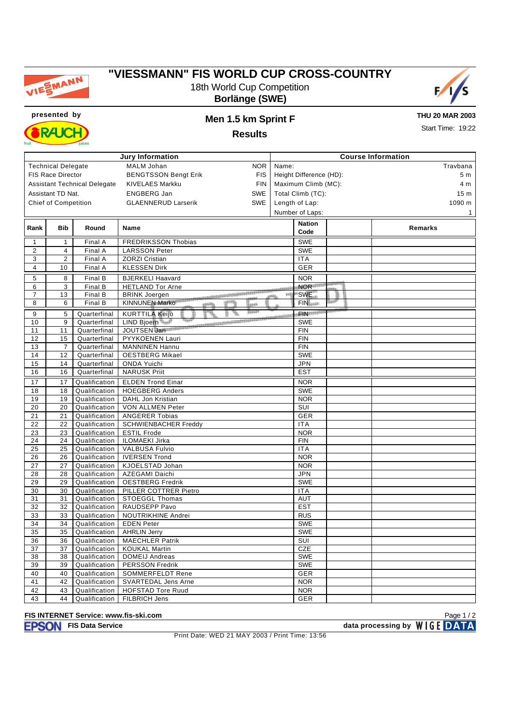

# **"VIESSMANN" FIS WORLD CUP CROSS-COUNTRY** 18th World Cup Competition

**Borlänge (SWE)**





**THU 20 MAR 2003**

**Results**

Start Time: 19:22

| <b>Jury Information</b> |                             |                                     | <b>Course Information</b>                 |                         |                          |   |                 |  |  |
|-------------------------|-----------------------------|-------------------------------------|-------------------------------------------|-------------------------|--------------------------|---|-----------------|--|--|
|                         | <b>Technical Delegate</b>   |                                     | MALM Johan<br><b>NOR</b>                  | Name:                   |                          |   | Travbana        |  |  |
|                         | FIS Race Director           |                                     | <b>BENGTSSON Bengt Erik</b><br><b>FIS</b> | Height Difference (HD): |                          |   | 5 m             |  |  |
|                         |                             | <b>Assistant Technical Delegate</b> | KIVELAES Markku<br><b>FIN</b>             | Maximum Climb (MC):     |                          |   | 4 m             |  |  |
|                         | Assistant TD Nat.           |                                     | <b>ENGBERG Jan</b><br><b>SWE</b>          | Total Climb (TC):       |                          |   | 15 <sub>m</sub> |  |  |
|                         | <b>Chief of Competition</b> |                                     | <b>SWE</b><br><b>GLAENNERUD Larserik</b>  |                         |                          |   | 1090 m          |  |  |
|                         |                             |                                     |                                           | Length of Lap:          |                          |   |                 |  |  |
|                         |                             |                                     |                                           |                         | Number of Laps:          |   | 1               |  |  |
| Rank                    | <b>Bib</b>                  | Round                               | Name                                      |                         | <b>Nation</b>            |   | Remarks         |  |  |
|                         |                             |                                     |                                           |                         | Code                     |   |                 |  |  |
| $\mathbf{1}$            | 1                           | Final A                             | <b>FREDRIKSSON Thobias</b>                |                         | <b>SWE</b>               |   |                 |  |  |
| $\overline{2}$          | 4                           | Final A                             | <b>LARSSON Peter</b>                      |                         | <b>SWE</b>               |   |                 |  |  |
| 3                       | $\overline{2}$              | Final A                             | <b>ZORZI Cristian</b>                     |                         | <b>ITA</b>               |   |                 |  |  |
| $\overline{4}$          | 10                          | Final A                             | <b>KLESSEN Dirk</b>                       |                         | <b>GER</b>               |   |                 |  |  |
| 5                       | 8                           | Final B                             | <b>BJERKELI Haavard</b>                   |                         | <b>NOR</b>               |   |                 |  |  |
| 6                       | 3                           | Final B                             | <b>HETLAND Tor Arne</b>                   |                         | NOR <sup>1111</sup>      |   |                 |  |  |
| $\overline{7}$          | 13                          | Final B                             | <b>BRINK Joergen</b>                      |                         | <b>SWE</b>               | 面 |                 |  |  |
| 8                       | 6                           | Final B                             | <b>KINNUNEN Marko</b><br>heath<br>disch   |                         | <b>FINissan</b>          |   |                 |  |  |
| 9                       | 5                           | Quarterfinal                        | <b>KURTTILA Keijo</b>                     |                         | <b>Report</b> ion        |   |                 |  |  |
| 10                      | 9                           | Quarterfinal                        | LIND Bioern<br>005566688888888888888      |                         | <b>SWE</b>               |   |                 |  |  |
| 11                      | 11                          | Quarterfinal                        | JOUTSEN Jari                              |                         | <b>FIN</b>               |   |                 |  |  |
| 12                      | 15                          | Quarterfinal                        | PYYKOENEN Lauri                           |                         | <b>FIN</b>               |   |                 |  |  |
| 13                      | $\overline{7}$              | Quarterfinal                        | <b>MANNINEN Hannu</b>                     |                         | <b>FIN</b>               |   |                 |  |  |
| 14                      | 12                          | Quarterfinal                        | <b>OESTBERG Mikael</b>                    |                         | <b>SWE</b>               |   |                 |  |  |
| 15                      | 14                          | Quarterfinal                        | <b>ONDA Yuichi</b>                        |                         | <b>JPN</b>               |   |                 |  |  |
| 16                      | 16                          | Quarterfinal                        | <b>NARUSK Priit</b>                       |                         | <b>EST</b>               |   |                 |  |  |
| 17                      | 17                          |                                     | <b>ELDEN Trond Einar</b>                  |                         | <b>NOR</b>               |   |                 |  |  |
| 18                      | 18                          | Qualification                       | <b>HOEGBERG Anders</b>                    |                         | <b>SWE</b>               |   |                 |  |  |
| 19                      | 19                          | Qualification<br>Qualification      |                                           |                         | <b>NOR</b>               |   |                 |  |  |
| 20                      | 20                          | Qualification                       | DAHL Jon Kristian<br>VON ALLMEN Peter     |                         | SUI                      |   |                 |  |  |
|                         |                             |                                     | <b>ANGERER Tobias</b>                     |                         | GER                      |   |                 |  |  |
| 21                      | 21<br>22                    | Qualification<br>Qualification      | <b>SCHWIENBACHER Freddy</b>               |                         | <b>ITA</b>               |   |                 |  |  |
| 22                      |                             |                                     |                                           |                         |                          |   |                 |  |  |
| 23<br>24                | 23<br>24                    | Qualification<br>Qualification      | <b>ESTIL Frode</b><br>ILOMAEKI Jirka      |                         | <b>NOR</b><br><b>FIN</b> |   |                 |  |  |
| 25                      | 25                          | Qualification                       | <b>VALBUSA Fulvio</b>                     |                         | <b>ITA</b>               |   |                 |  |  |
| 26                      | 26                          | Qualification                       | <b>IVERSEN Trond</b>                      |                         | <b>NOR</b>               |   |                 |  |  |
| 27                      | 27                          | Qualification                       | KJOELSTAD Johan                           |                         | <b>NOR</b>               |   |                 |  |  |
| 28                      | 28                          | Qualification                       | <b>AZEGAMI Daichi</b>                     |                         | <b>JPN</b>               |   |                 |  |  |
| 29                      | 29                          | Qualification                       | <b>OESTBERG Fredrik</b>                   |                         | <b>SWE</b>               |   |                 |  |  |
| 30                      | 30                          | Qualification                       | PILLER COTTRER Pietro                     |                         | <b>ITA</b>               |   |                 |  |  |
| 31                      | 31                          | Qualification                       | <b>STOEGGL Thomas</b>                     |                         | <b>AUT</b>               |   |                 |  |  |
| 32                      | 32                          | Qualification                       | RAUDSEPP Pavo                             |                         | <b>EST</b>               |   |                 |  |  |
| 33                      | 33                          | Qualification                       | NOUTRIKHINE Andrei                        |                         | <b>RUS</b>               |   |                 |  |  |
| 34                      | 34                          | Qualification                       | <b>EDEN Peter</b>                         |                         | <b>SWE</b>               |   |                 |  |  |
| 35                      | 35                          | Qualification                       | <b>AHRLIN Jerry</b>                       |                         | <b>SWE</b>               |   |                 |  |  |
| 36                      | 36                          | Qualification                       | <b>MAECHLER Patrik</b>                    |                         | SUI                      |   |                 |  |  |
| 37                      | 37                          | Qualification                       | <b>KOUKAL Martin</b>                      |                         | CZE                      |   |                 |  |  |
| 38                      | 38                          | Qualification                       | <b>DOMEIJ Andreas</b>                     |                         | <b>SWE</b>               |   |                 |  |  |
| 39                      | 39                          | Qualification                       | <b>PERSSON Fredrik</b>                    |                         | <b>SWE</b>               |   |                 |  |  |
| 40                      | 40                          | Qualification                       | <b>SOMMERFELDT Rene</b>                   |                         | <b>GER</b>               |   |                 |  |  |
| 41                      | 42                          | Qualification                       | <b>SVARTEDAL Jens Arne</b>                |                         | <b>NOR</b>               |   |                 |  |  |
| 42                      | 43                          | Qualification                       | <b>HOFSTAD Tore Ruud</b>                  |                         | <b>NOR</b>               |   |                 |  |  |
| 43                      | 44                          | Qualification                       | <b>FILBRICH Jens</b>                      |                         | <b>GER</b>               |   |                 |  |  |

### **FIS INTERNET Service: www.fis-ski.com**

**FIS Data Service data processing by**

Print Date: WED 21 MAY 2003 / Print Time: 13:56

Page 1 / 2